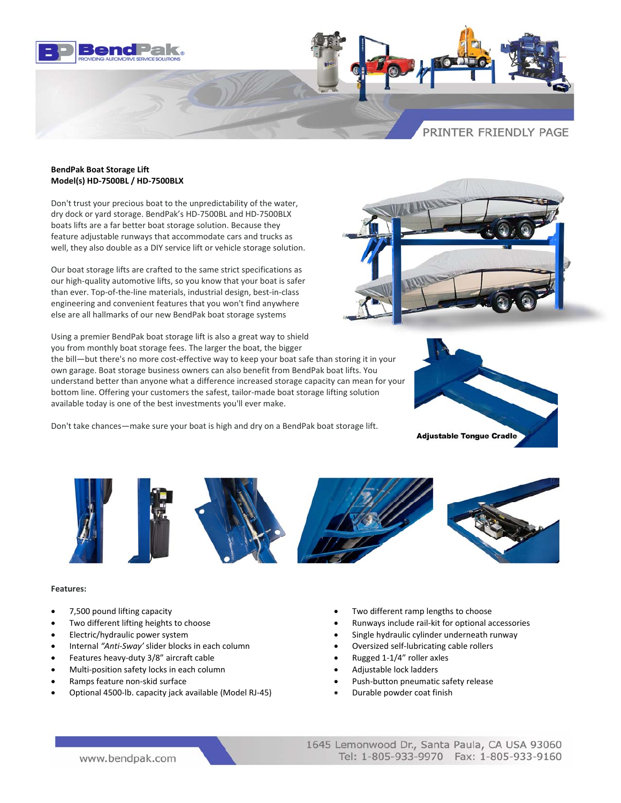

## **BendPak Boat Storage Lift Model(s) HD‐7500BL / HD‐7500BLX**

Don't trust your precious boat to the unpredictability of the water, dry dock or yard storage. BendPak's HD‐7500BL and HD‐7500BLX boats lifts are a far better boat storage solution. Because they feature adjustable runways that accommodate cars and trucks as well, they also double as a DIY service lift or vehicle storage solution.

Our boat storage lifts are crafted to the same strict specifications as our high-quality automotive lifts, so you know that your boat is safer than ever. Top‐of‐the‐line materials, industrial design, best‐in‐class engineering and convenient features that you won't find anywhere else are all hallmarks of our new BendPak boat storage systems

Using a premier BendPak boat storage lift is also a great way to shield you from monthly boat storage fees. The larger the boat, the bigger

the bill—but there's no more cost-effective way to keep your boat safe than storing it in your own garage. Boat storage business owners can also benefit from BendPak boat lifts. You understand better than anyone what a difference increased storage capacity can mean for your bottom line. Offering your customers the safest, tailor-made boat storage lifting solution available today is one of the best investments you'll ever make.

Don't take chances—make sure your boat is high and dry on a BendPak boat storage lift.







## **Features:**

- 
- 
- 
- Internal *"Anti‐Sway'* slider blocks in each column Oversized self‐lubricating cable rollers
- Features heavy‐duty 3/8" aircraft cable Rugged 1‐1/4" roller axles
- Multi‐position safety locks in each column Adjustable lock ladders
- 
- Optional 4500‐lb. capacity jack available (Model RJ‐45) Durable powder coat finish
- 7,500 pound lifting capacity • Two different ramp lengths to choose
- Two different lifting heights to choose Runways include rail‐kit for optional accessories
- Electric/hydraulic power system • Single hydraulic cylinder underneath runway
	-
	-
	-
- Ramps feature non‐skid surface Push‐button pneumatic safety release
	-

www.bendpak.com

1645 Lemonwood Dr., Santa Paula, CA USA 93060 Tel: 1-805-933-9970 Fax: 1-805-933-9160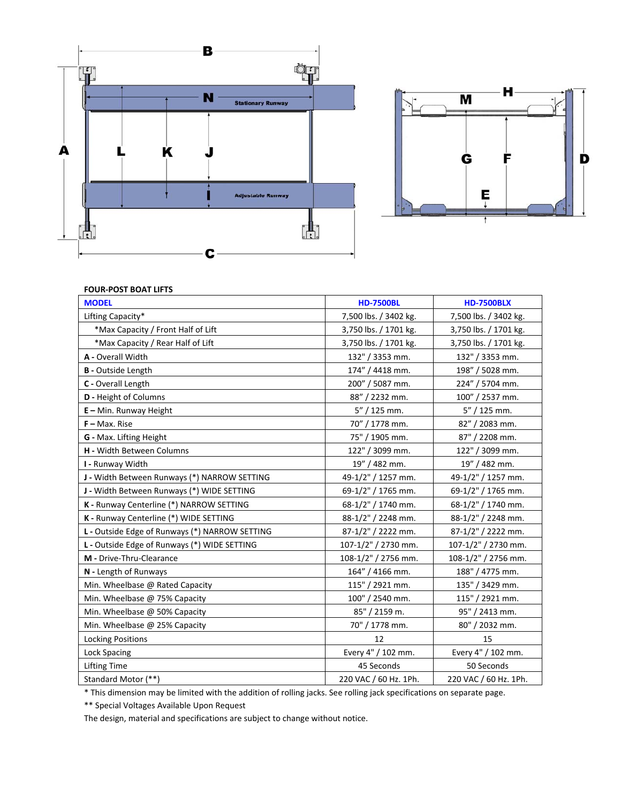



## **FOUR‐POST BOAT LIFTS**

| <b>MODEL</b>                                   | <b>HD-7500BL</b>      | <b>HD-7500BLX</b>     |
|------------------------------------------------|-----------------------|-----------------------|
| Lifting Capacity*                              | 7,500 lbs. / 3402 kg. | 7,500 lbs. / 3402 kg. |
| *Max Capacity / Front Half of Lift             | 3,750 lbs. / 1701 kg. | 3,750 lbs. / 1701 kg. |
| *Max Capacity / Rear Half of Lift              | 3,750 lbs. / 1701 kg. | 3,750 lbs. / 1701 kg. |
| A - Overall Width                              | 132" / 3353 mm.       | 132" / 3353 mm.       |
| <b>B</b> - Outside Length                      | 174" / 4418 mm.       | 198" / 5028 mm.       |
| C - Overall Length                             | 200" / 5087 mm.       | 224" / 5704 mm.       |
| D - Height of Columns                          | 88" / 2232 mm.        | 100" / 2537 mm.       |
| $E -$ Min. Runway Height                       | $5''/125$ mm.         | $5''/125$ mm.         |
| $F - Max.$ Rise                                | 70" / 1778 mm.        | 82" / 2083 mm.        |
| G - Max. Lifting Height                        | 75" / 1905 mm.        | 87" / 2208 mm.        |
| <b>H</b> - Width Between Columns               | 122" / 3099 mm.       | 122" / 3099 mm.       |
| I - Runway Width                               | 19" / 482 mm.         | 19" / 482 mm.         |
| J - Width Between Runways (*) NARROW SETTING   | 49-1/2" / 1257 mm.    | 49-1/2" / 1257 mm.    |
| J - Width Between Runways (*) WIDE SETTING     | 69-1/2" / 1765 mm.    | 69-1/2" / 1765 mm.    |
| K - Runway Centerline (*) NARROW SETTING       | 68-1/2" / 1740 mm.    | 68-1/2" / 1740 mm.    |
| K - Runway Centerline (*) WIDE SETTING         | 88-1/2" / 2248 mm.    | 88-1/2" / 2248 mm.    |
| L - Outside Edge of Runways (*) NARROW SETTING | 87-1/2" / 2222 mm.    | 87-1/2" / 2222 mm.    |
| L - Outside Edge of Runways (*) WIDE SETTING   | 107-1/2" / 2730 mm.   | 107-1/2" / 2730 mm.   |
| M - Drive-Thru-Clearance                       | 108-1/2" / 2756 mm.   | 108-1/2" / 2756 mm.   |
| N - Length of Runways                          | 164" / 4166 mm.       | 188" / 4775 mm.       |
| Min. Wheelbase @ Rated Capacity                | 115" / 2921 mm.       | 135" / 3429 mm.       |
| Min. Wheelbase @ 75% Capacity                  | 100" / 2540 mm.       | 115" / 2921 mm.       |
| Min. Wheelbase @ 50% Capacity                  | 85" / 2159 m.         | 95" / 2413 mm.        |
| Min. Wheelbase @ 25% Capacity                  | 70" / 1778 mm.        | 80" / 2032 mm.        |
| <b>Locking Positions</b>                       | 12                    | 15                    |
| <b>Lock Spacing</b>                            | Every 4" / 102 mm.    | Every 4" / 102 mm.    |
| <b>Lifting Time</b>                            | 45 Seconds            | 50 Seconds            |
| Standard Motor (**)                            | 220 VAC / 60 Hz. 1Ph. | 220 VAC / 60 Hz. 1Ph. |

\* This dimension may be limited with the addition of rolling jacks. See rolling jack specifications on separate page.

\*\* Special Voltages Available Upon Request

The design, material and specifications are subject to change without notice.